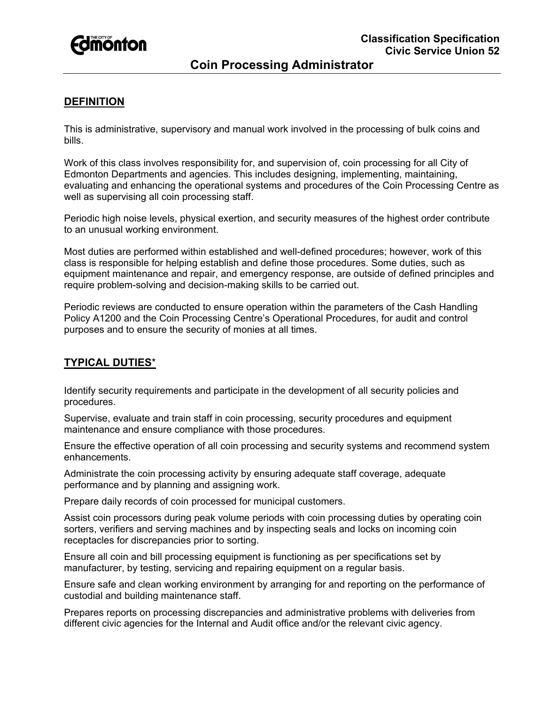

# **DEFINITION**

This is administrative, supervisory and manual work involved in the processing of bulk coins and bills.

Work of this class involves responsibility for, and supervision of, coin processing for all City of Edmonton Departments and agencies. This includes designing, implementing, maintaining, evaluating and enhancing the operational systems and procedures of the Coin Processing Centre as well as supervising all coin processing staff.

Periodic high noise levels, physical exertion, and security measures of the highest order contribute to an unusual working environment.

Most duties are performed within established and well-defined procedures; however, work of this class is responsible for helping establish and define those procedures. Some duties, such as equipment maintenance and repair, and emergency response, are outside of defined principles and require problem-solving and decision-making skills to be carried out.

Periodic reviews are conducted to ensure operation within the parameters of the Cash Handling Policy A1200 and the Coin Processing Centre's Operational Procedures, for audit and control purposes and to ensure the security of monies at all times.

# **TYPICAL DUTIES**\*

Identify security requirements and participate in the development of all security policies and procedures.

Supervise, evaluate and train staff in coin processing, security procedures and equipment maintenance and ensure compliance with those procedures.

Ensure the effective operation of all coin processing and security systems and recommend system enhancements.

Administrate the coin processing activity by ensuring adequate staff coverage, adequate performance and by planning and assigning work.

Prepare daily records of coin processed for municipal customers.

Assist coin processors during peak volume periods with coin processing duties by operating coin sorters, verifiers and serving machines and by inspecting seals and locks on incoming coin receptacles for discrepancies prior to sorting.

Ensure all coin and bill processing equipment is functioning as per specifications set by manufacturer, by testing, servicing and repairing equipment on a regular basis.

Ensure safe and clean working environment by arranging for and reporting on the performance of custodial and building maintenance staff.

Prepares reports on processing discrepancies and administrative problems with deliveries from different civic agencies for the Internal and Audit office and/or the relevant civic agency.